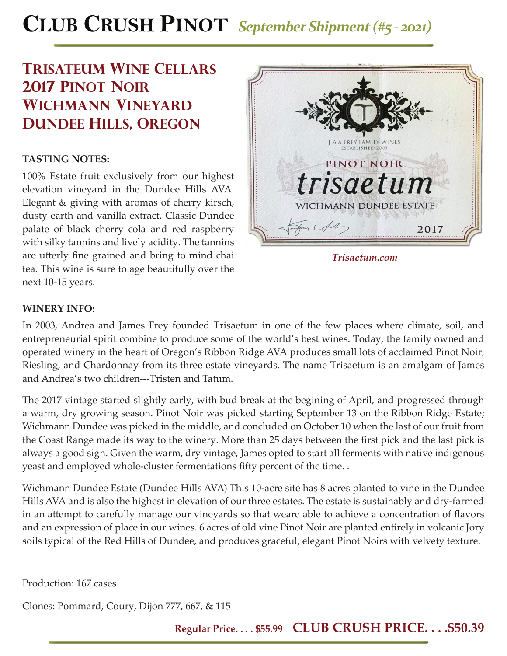# **CLUB CRUSH PINOT** *September Shipment (#5 - 2021)*

## **trisateum Wine cellars 2017 pinot noir wichmann vineyard dundee hills, oregon**

### **TASTING NOTES:**

100% Estate fruit exclusively from our highest elevation vineyard in the Dundee Hills AVA. Elegant & giving with aromas of cherry kirsch, dusty earth and vanilla extract. Classic Dundee palate of black cherry cola and red raspberry with silky tannins and lively acidity. The tannins are utterly fine grained and bring to mind chai tea. This wine is sure to age beautifully over the next 10-15 years.



### **WINERY INFO:**

In 2003, Andrea and James Frey founded Trisaetum in one of the few places where climate, soil, and entrepreneurial spirit combine to produce some of the world's best wines. Today, the family owned and operated winery in the heart of Oregon's Ribbon Ridge AVA produces small lots of acclaimed Pinot Noir, Riesling, and Chardonnay from its three estate vineyards. The name Trisaetum is an amalgam of James and Andrea's two children---Tristen and Tatum.

The 2017 vintage started slightly early, with bud break at the begining of April, and progressed through a warm, dry growing season. Pinot Noir was picked starting September 13 on the Ribbon Ridge Estate; Wichmann Dundee was picked in the middle, and concluded on October 10 when the last of our fruit from the Coast Range made its way to the winery. More than 25 days between the first pick and the last pick is always a good sign. Given the warm, dry vintage, James opted to start all ferments with native indigenous yeast and employed whole-cluster fermentations fifty percent of the time. .

Wichmann Dundee Estate (Dundee Hills AVA) This 10-acre site has 8 acres planted to vine in the Dundee Hills AVA and is also the highest in elevation of our three estates. The estate is sustainably and dry-farmed in an attempt to carefully manage our vineyards so that weare able to achieve a concentration of flavors and an expression of place in our wines. 6 acres of old vine Pinot Noir are planted entirely in volcanic Jory soils typical of the Red Hills of Dundee, and produces graceful, elegant Pinot Noirs with velvety texture.

Production: 167 cases

Clones: Pommard, Coury, Dijon 777, 667, & 115